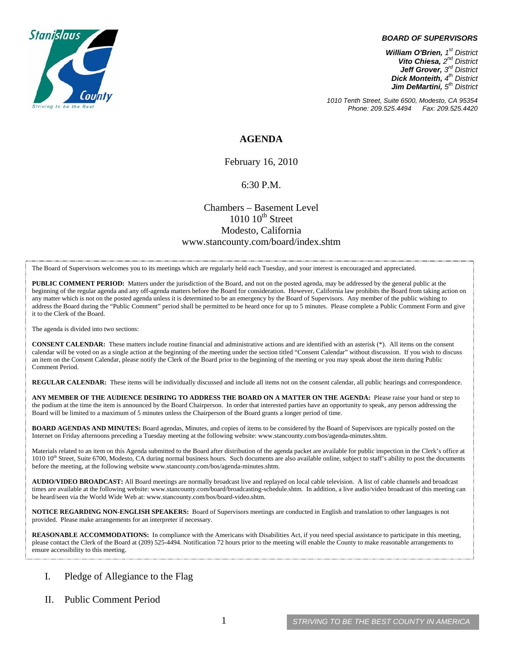

#### *BOARD OF SUPERVISORS*

*William O'Brien, 1st District Vito Chiesa, 2nd District Jeff Grover, 3rd District Dick Monteith, 4th District Jim DeMartini, 5th District*

*1010 Tenth Street, Suite 6500, Modesto, CA 95354 Phone: 209.525.4494* 

### **AGENDA**

February 16, 2010

#### 6:30 P.M.

## Chambers – Basement Level  $1010$   $10^{th}$  Street Modesto, California www.stancounty.com/board/index.shtm

The Board of Supervisors welcomes you to its meetings which are regularly held each Tuesday, and your interest is encouraged and appreciated.

**PUBLIC COMMENT PERIOD:** Matters under the jurisdiction of the Board, and not on the posted agenda, may be addressed by the general public at the beginning of the regular agenda and any off-agenda matters before the Board for consideration. However, California law prohibits the Board from taking action on any matter which is not on the posted agenda unless it is determined to be an emergency by the Board of Supervisors. Any member of the public wishing to address the Board during the "Public Comment" period shall be permitted to be heard once for up to 5 minutes. Please complete a Public Comment Form and give it to the Clerk of the Board.

The agenda is divided into two sections:

**CONSENT CALENDAR:** These matters include routine financial and administrative actions and are identified with an asterisk (\*). All items on the consent calendar will be voted on as a single action at the beginning of the meeting under the section titled "Consent Calendar" without discussion. If you wish to discuss an item on the Consent Calendar, please notify the Clerk of the Board prior to the beginning of the meeting or you may speak about the item during Public Comment Period.

**REGULAR CALENDAR:** These items will be individually discussed and include all items not on the consent calendar, all public hearings and correspondence.

**ANY MEMBER OF THE AUDIENCE DESIRING TO ADDRESS THE BOARD ON A MATTER ON THE AGENDA:** Please raise your hand or step to the podium at the time the item is announced by the Board Chairperson. In order that interested parties have an opportunity to speak, any person addressing the Board will be limited to a maximum of 5 minutes unless the Chairperson of the Board grants a longer period of time.

**BOARD AGENDAS AND MINUTES:** Board agendas, Minutes, and copies of items to be considered by the Board of Supervisors are typically posted on the Internet on Friday afternoons preceding a Tuesday meeting at the following website: www.stancounty.com/bos/agenda-minutes.shtm.

Materials related to an item on this Agenda submitted to the Board after distribution of the agenda packet are available for public inspection in the Clerk's office at 1010 10<sup>th</sup> Street, Suite 6700, Modesto, CA during normal business hours. Such documents are also available online, subject to staff's ability to post the documents before the meeting, at the following website www.stancounty.com/bos/agenda-minutes.shtm.

**AUDIO/VIDEO BROADCAST:** All Board meetings are normally broadcast live and replayed on local cable television. A list of cable channels and broadcast times are available at the following website: www.stancounty.com/board/broadcasting-schedule.shtm. In addition, a live audio/video broadcast of this meeting can be heard/seen via the World Wide Web at: www.stancounty.com/bos/board-video.shtm.

**NOTICE REGARDING NON-ENGLISH SPEAKERS:** Board of Supervisors meetings are conducted in English and translation to other languages is not provided. Please make arrangements for an interpreter if necessary.

**REASONABLE ACCOMMODATIONS:** In compliance with the Americans with Disabilities Act, if you need special assistance to participate in this meeting, please contact the Clerk of the Board at (209) 525-4494. Notification 72 hours prior to the meeting will enable the County to make reasonable arrangements to ensure accessibility to this meeting.

### I. Pledge of Allegiance to the Flag

II. Public Comment Period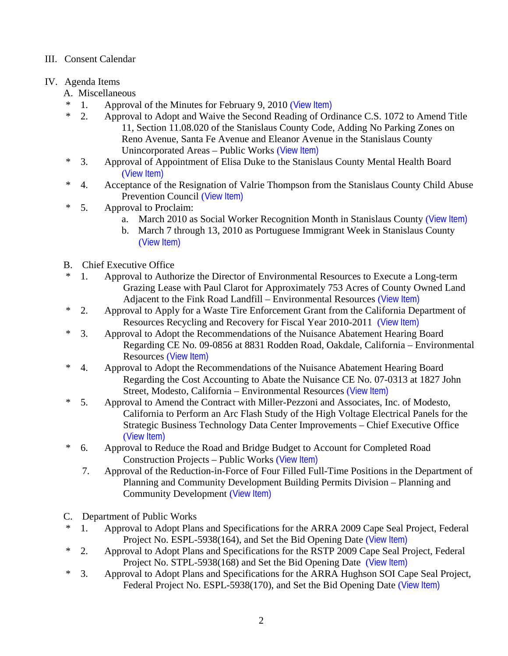## III. Consent Calendar

# IV. Agenda Items

- A. Miscellaneous
- \* 1. Approval of the Minutes for February 9, 2010 ([View Item\)](http://www.stancounty.com/bos/minutes/2010/min02-09-10.pdf)<br> $*$  2 Approval to Adopt and Waive the Second Beading of Org
- 2. Approval to Adopt and Waive the Second Reading of Ordinance C.S. 1072 to Amend Title 11, Section 11.08.020 of the Stanislaus County Code, Adding No Parking Zones on Reno Avenue, Santa Fe Avenue and Eleanor Avenue in the Stanislaus County Unincorporated Areas – Public Works ([View Item\)](http://www.stancounty.com/bos/agenda/2010/20100216/A02.pdf)
- \* 3. Approval of Appointment of Elisa Duke to the Stanislaus County Mental Health Board ([View Item\)](http://www.stancounty.com/bos/agenda/2010/20100216/A03.pdf)
- \* 4. Acceptance of the Resignation of Valrie Thompson from the Stanislaus County Child Abuse Prevention Council ([View Item\)](http://www.stancounty.com/bos/agenda/2010/20100216/A04.pdf)
- \* 5. Approval to Proclaim:
	- a. March 2010 as Social Worker Recognition Month in Stanislaus County ([View Item\)](http://www.stancounty.com/bos/agenda/2010/20100216/A05a.pdf)
	- b. March 7 through 13, 2010 as Portuguese Immigrant Week in Stanislaus County ([View Item\)](http://www.stancounty.com/bos/agenda/2010/20100216/A05b.pdf)
- B. Chief Executive Office
- \* 1. Approval to Authorize the Director of Environmental Resources to Execute a Long-term Grazing Lease with Paul Clarot for Approximately 753 Acres of County Owned Land Adjacent to the Fink Road Landfill – Environmental Resources ([View Item\)](http://www.stancounty.com/bos/agenda/2010/20100216/B01.pdf)
- \* 2. Approval to Apply for a Waste Tire Enforcement Grant from the California Department of Resources Recycling and Recovery for Fiscal Year 2010-2011 ([View Item\)](http://www.stancounty.com/bos/agenda/2010/20100216/B02.pdf)
- \* 3. Approval to Adopt the Recommendations of the Nuisance Abatement Hearing Board Regarding CE No. 09-0856 at 8831 Rodden Road, Oakdale, California – Environmental Resources ([View Item\)](http://www.stancounty.com/bos/agenda/2010/20100216/B03.pdf)
- \* 4. Approval to Adopt the Recommendations of the Nuisance Abatement Hearing Board Regarding the Cost Accounting to Abate the Nuisance CE No. 07-0313 at 1827 John Street, Modesto, California – Environmental Resources ([View Item\)](http://www.stancounty.com/bos/agenda/2010/20100216/B04.pdf)
- \* 5. Approval to Amend the Contract with Miller-Pezzoni and Associates, Inc. of Modesto, California to Perform an Arc Flash Study of the High Voltage Electrical Panels for the Strategic Business Technology Data Center Improvements – Chief Executive Office ([View Item\)](http://www.stancounty.com/bos/agenda/2010/20100216/B05.pdf)
- \* 6. Approval to Reduce the Road and Bridge Budget to Account for Completed Road Construction Projects – Public Works ([View Item\)](http://www.stancounty.com/bos/agenda/2010/20100216/B06.pdf)
	- 7. Approval of the Reduction-in-Force of Four Filled Full-Time Positions in the Department of Planning and Community Development Building Permits Division – Planning and Community Development ([View Item\)](http://www.stancounty.com/bos/agenda/2010/20100216/B07.pdf)
- C. Department of Public Works
- \* 1. Approval to Adopt Plans and Specifications for the ARRA 2009 Cape Seal Project, Federal Project No. ESPL-5938(164), and Set the Bid Opening Date ([View Item\)](http://www.stancounty.com/bos/agenda/2010/20100216/C01.pdf)
- \* 2. Approval to Adopt Plans and Specifications for the RSTP 2009 Cape Seal Project, Federal Project No. STPL-5938(168) and Set the Bid Opening Date ([View Item\)](http://www.stancounty.com/bos/agenda/2010/20100216/C02.pdf)
- \* 3. Approval to Adopt Plans and Specifications for the ARRA Hughson SOI Cape Seal Project, Federal Project No. ESPL-5938(170), and Set the Bid Opening Date ([View Item\)](http://www.stancounty.com/bos/agenda/2010/20100216/C03.pdf)